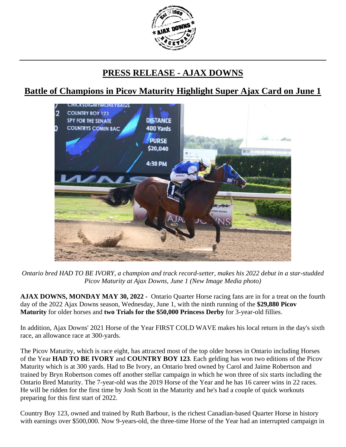

## **PRESS RELEASE - AJAX DOWNS**

## **Battle of Champions in Picov Maturity Highlight Super Ajax Card on June 1**



*Ontario bred HAD TO BE IVORY, a champion and track record-setter, makes his 2022 debut in a star-studded Picov Maturity at Ajax Downs, June 1 (New Image Media photo)*

**AJAX DOWNS, MONDAY MAY 30, 2022 -** Ontario Quarter Horse racing fans are in for a treat on the fourth day of the 2022 Ajax Downs season, Wednesday, June 1, with the ninth running of the **\$29,880 Picov Maturity** for older horses and **two Trials for the \$50,000 Princess Derby** for 3-year-old fillies.

In addition, Ajax Downs' 2021 Horse of the Year FIRST COLD WAVE makes his local return in the day's sixth race, an allowance race at 300-yards.

The Picov Maturity, which is race eight, has attracted most of the top older horses in Ontario including Horses of the Year **HAD TO BE IVORY** and **COUNTRY BOY 123**. Each gelding has won two editions of the Picov Maturity which is at 300 yards. Had to Be Ivory, an Ontario bred owned by Carol and Jaime Robertson and trained by Bryn Robertson comes off another stellar campaign in which he won three of six starts including the Ontario Bred Maturity. The 7-year-old was the 2019 Horse of the Year and he has 16 career wins in 22 races. He will be ridden for the first time by Josh Scott in the Maturity and he's had a couple of quick workouts preparing for this first start of 2022.

Country Boy 123, owned and trained by Ruth Barbour, is the richest Canadian-based Quarter Horse in history with earnings over \$500,000. Now 9-years-old, the three-time Horse of the Year had an interrupted campaign in